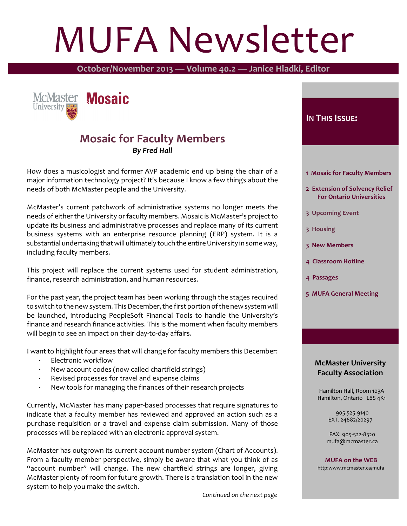# MUFA Newsletter

**October/November 2013 — Volume 40.2 — Janice Hladki, Editor**



#### **Mosaic for Faculty Members** *By Fred Hall*

How does a musicologist and former AVP academic end up being the chair of a major information technology project? It's because I know a few things about the needs of both McMaster people and the University.

McMaster's current patchwork of administrative systems no longer meets the needs of either the University or faculty members. Mosaic is McMaster's project to update its business and administrative processes and replace many of its current business systems with an enterprise resource planning (ERP) system. It is a substantial undertaking that will ultimately touch the entire University in some way, including faculty members.

This project will replace the current systems used for student administration, finance, research administration, and human resources.

For the past year, the project team has been working through the stages required to switch to the new system. This December, the first portion of the new system will be launched, introducing PeopleSoft Financial Tools to handle the University's finance and research finance activities. This is the moment when faculty members will begin to see an impact on their day-to-day affairs.

I want to highlight four areas that will change for faculty members this December:

- Electronic workflow
- · New account codes (now called chartfield strings)
- Revised processes for travel and expense claims
- New tools for managing the finances of their research projects

Currently, McMaster has many paper-based processes that require signatures to indicate that a faculty member has reviewed and approved an action such as a purchase requisition or a travel and expense claim submission. Many of those processes will be replaced with an electronic approval system.

McMaster has outgrown its current account number system (Chart of Accounts). From a faculty member perspective, simply be aware that what you think of as "account number" will change. The new chartfield strings are longer, giving McMaster plenty of room for future growth. There is a translation tool in the new system to help you make the switch.

 *Continued on the next page*

#### **IN THIS ISSUE:**

- **1 Mosaic for Faculty Members**
- **2 Extension of Solvency Relief For Ontario Universities**
- **3 Upcoming Event**
- **3 Housing**
- **3 New Members**
- **4 Classroom Hotline**
- **4 Passages**
- **5 MUFA General Meeting**

#### **McMaster University Faculty Association**

 Hamilton Hall, Room 103A Hamilton, Ontario L8S 4K1

> 905-525-9140 EXT. 24682/20297

 FAX: 905-522-8320 mufa@mcmaster.ca

**MUFA on the WEB** http:www.mcmaster.ca/mufa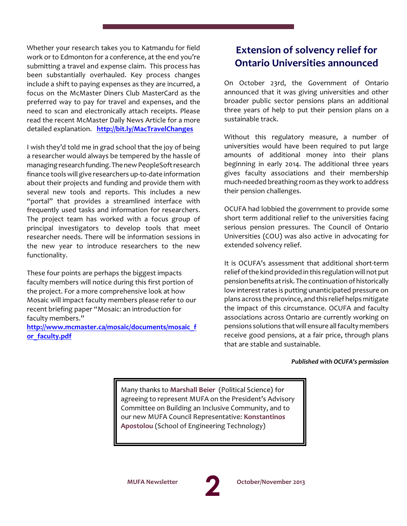Whether your research takes you to Katmandu for field work or to Edmonton for a conference, at the end you're submitting a travel and expense claim. This process has been substantially overhauled. Key process changes include a shift to paying expenses as they are incurred, a focus on the McMaster Diners Club MasterCard as the preferred way to pay for travel and expenses, and the need to scan and electronically attach receipts. Please read the recent McMaster Daily News Article for a more detailed explanation. **<http://bit.ly/MacTravelChanges>**

I wish they'd told me in grad school that the joy of being a researcher would always be tempered by the hassle of managing research funding. The new PeopleSoft research finance toolswill give researchers up-to-date information about their projects and funding and provide them with several new tools and reports. This includes a new "portal" that provides a streamlined interface with frequently used tasks and information for researchers. The project team has worked with a focus group of principal investigators to develop tools that meet researcher needs. There will be information sessions in the new year to introduce researchers to the new functionality.

These four points are perhaps the biggest impacts faculty members will notice during this first portion of the project. For a more comprehensive look at how Mosaic will impact faculty members please refer to our recent briefing paper "Mosaic: an introduction for faculty members."

**[http://www.mcmaster.ca/mosaic/documents/mosaic\\_f](http://www.mcmaster.ca/mosaic/documents/mosaic_for_faculty.pdf) [or\\_faculty.pdf](http://www.mcmaster.ca/mosaic/documents/mosaic_for_faculty.pdf)**

#### **Extension of solvency relief for Ontario Universities announced**

On October 23rd, the Government of Ontario announced that it was giving universities and other broader public sector pensions plans an additional three years of help to put their pension plans on a sustainable track.

Without this regulatory measure, a number of universities would have been required to put large amounts of additional money into their plans beginning in early 2014. The additional three years gives faculty associations and their membership much-needed breathing room as they work to address their pension challenges.

OCUFA had lobbied the government to provide some short term additional relief to the universities facing serious pension pressures. The Council of Ontario Universities (COU) was also active in advocating for extended solvency relief.

It is OCUFA's assessment that additional short-term relief of the kind provided in this regulation will not put pension benefits at risk. The continuation of historically low interest rates is putting unanticipated pressure on plans across the province, and this relief helps mitigate the impact of this circumstance. OCUFA and faculty associations across Ontario are currently working on pensions solutions that will ensure all faculty members receive good pensions, at a fair price, through plans that are stable and sustainable.

#### *Published with OCUFA's permission*

Many thanks to **Marshall Beier** (Political Science) for agreeing to represent MUFA on the President's Advisory Committee on Building an Inclusive Community, and to our new MUFA Council Representative: **Konstantinos Apostolou** (School of Engineering Technology)

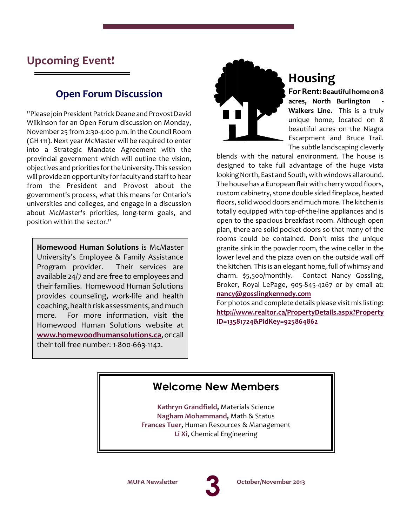### **Upcoming Event!**

#### **Open Forum Discussion**

"Please join President Patrick Deane and Provost David Wilkinson for an Open Forum discussion on Monday, November 25 from 2:30-4:00 p.m. in the Council Room (GH 111). Next year McMaster will be required to enter into a Strategic Mandate Agreement with the provincial government which will outline the vision, objectives and priorities forthe University.This session will provide an opportunity forfaculty and staff to hear from the President and Provost about the government's process, what this means for Ontario's universities and colleges, and engage in a discussion about McMaster's priorities, long-term goals, and position within the sector."

**Homewood Human Solutions** is McMaster University's Employee & Family Assistance Program provider. Their services are available 24/7 and are free to employees and their families. Homewood Human Solutions provides counseling, work-life and health coaching, health risk assessments, and much more. For more information, visit the Homewood Human Solutions website at **[www.homewoodhumansolutions.ca](http://www.homewoodhumansolutions.ca)**, or call their toll free number: 1-800-663-1142.



# **Housing**

**For Rent:** Beautiful home on 8 **acres, North Burlington - Walkers Line.** This is a truly unique home, located on 8 beautiful acres on the Niagra Escarpment and Bruce Trail. The subtle landscaping cleverly

blends with the natural environment. The house is designed to take full advantage of the huge vista looking North, East and South, with windows allaround. The house has a European flair with cherry wood floors, custom cabinetry, stone double sided fireplace, heated floors, solid wood doors and much more. The kitchen is totally equipped with top-of-the-line appliances and is open to the spacious breakfast room. Although open plan, there are solid pocket doors so that many of the rooms could be contained. Don't miss the unique granite sink in the powder room, the wine cellar in the lower level and the pizza oven on the outside wall off the kitchen. This is an elegant home, full of whimsy and charm. \$5,500/monthly. Contact Nancy Gossling, Broker, Royal LePage, 905-845-4267 or by email at: **[nancy@gosslingkennedy.com](mailto:nancy@gosslingkennedy.com)**

For photos and complete details please visit mls listing: **[http://www.realtor.ca/PropertyDetails.aspx?Property](http://www.realtor.ca/PropertyDetails.aspx?PropertyID=13581724&PidKey=925864862) [ID=13581724&PidKey=925864862](http://www.realtor.ca/PropertyDetails.aspx?PropertyID=13581724&PidKey=925864862)**

### **Welcome New Members**

**Kathryn Grandfield,** Materials Science **Nagham Mohammand,** Math & Status **Frances Tuer,** Human Resources & Management **Li Xi**, Chemical Engineering

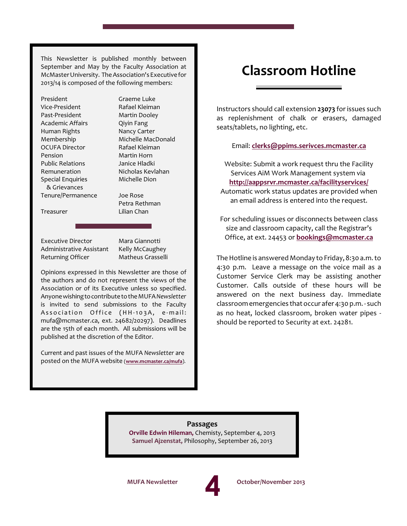This Newsletter is published monthly between September and May by the Faculty Association at McMasterUniversity. TheAssociation's Executivefor 2013/14 is composed of the following members:

| President                | Graeme Luke        |
|--------------------------|--------------------|
| Vice-President           | Rafael Kleiman     |
| Past-President           | Martin Dooley      |
| Academic Affairs         | Qiyin Fang         |
| Human Rights             | Nancy Carter       |
| Membership               | Michelle MacDonald |
| <b>OCUFA Director</b>    | Rafael Kleiman     |
| Pension                  | Martin Horn        |
| <b>Public Relations</b>  | Janice Hladki      |
| Remuneration             | Nicholas Kevlahan  |
| <b>Special Enquiries</b> | Michelle Dion      |
| & Grievances             |                    |
| Tenure/Permanence        | Joe Rose           |
|                          | Petra Rethman      |
| Treasurer                | Lilian Chan        |

Executive Director Mara Giannotti Administrative Assistant Kelly McCaughey Returning Officer Matheus Grasselli

Opinions expressed in this Newsletter are those of the authors and do not represent the views of the Association or of its Executive unless so specified. Anyonewishingtocontributeto theMUFA *Newsletter* is invited to send submissions to the Faculty Association Office (HH-103A, e-mail: mufa@mcmaster.ca, ext. 24682/20297). Deadlines are the 15th of each month. All submissions will be published at the discretion of the Editor.

Current and past issues of the MUFA *Newsletter* are posted on the MUFA website (**[www.mcmaster.ca/mufa](http://www.mcmaster.ca/mufa/)**).

## **Classroom Hotline**

Instructors should call extension **23073** forissues such as replenishment of chalk or erasers, damaged seats/tablets, no lighting, etc.

#### Email: **[clerks@ppims.serivces.mcmaster.ca](mailto:clerks@ppims.serivces.mcmaster.ca)**

Website: Submit a work request thru the Facility Services AiM Work Management system via **<http://aappsrvr.mcmaster.ca/facilityservices/>** Automatic work status updates are provided when an email address is entered into the request.

For scheduling issues or disconnects between class size and classroom capacity, call the Registrar's Office, at ext. 24453 or **[bookings@mcmaster.ca](mailto:bookings@mcmaster.ca)**

The Hotline is answered Monday to Friday, 8:30 a.m. to 4:30 p.m. Leave a message on the voice mail as a Customer Service Clerk may be assisting another Customer. Calls outside of these hours will be answered on the next business day. Immediate classroom emergencies that occur afer 4:30 p.m. - such as no heat, locked classroom, broken water pipes should be reported to Security at ext. 24281.

**Passages Orville Edwin Hileman,** Chemisty, September 4, 2013 **Samuel Ajzenstat,** Philosophy, September 26, 2013